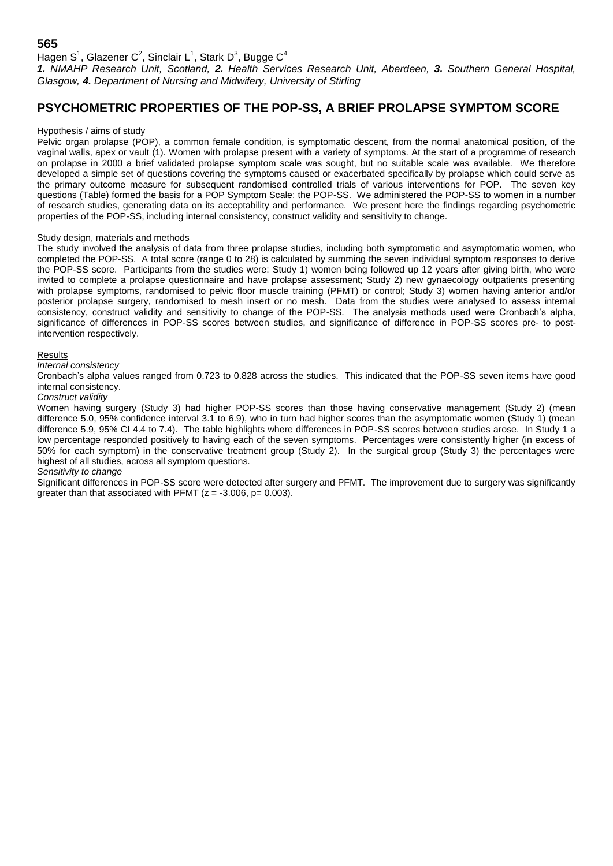## **565**

Hagen S<sup>1</sup>, Glazener C<sup>2</sup>, Sinclair L<sup>1</sup>, Stark D<sup>3</sup>, Bugge C<sup>4</sup>

*1. NMAHP Research Unit, Scotland, 2. Health Services Research Unit, Aberdeen, 3. Southern General Hospital, Glasgow, 4. Department of Nursing and Midwifery, University of Stirling*

# **PSYCHOMETRIC PROPERTIES OF THE POP-SS, A BRIEF PROLAPSE SYMPTOM SCORE**

#### Hypothesis / aims of study

Pelvic organ prolapse (POP), a common female condition, is symptomatic descent, from the normal anatomical position, of the vaginal walls, apex or vault (1). Women with prolapse present with a variety of symptoms. At the start of a programme of research on prolapse in 2000 a brief validated prolapse symptom scale was sought, but no suitable scale was available. We therefore developed a simple set of questions covering the symptoms caused or exacerbated specifically by prolapse which could serve as the primary outcome measure for subsequent randomised controlled trials of various interventions for POP. The seven key questions (Table) formed the basis for a POP Symptom Scale: the POP-SS. We administered the POP-SS to women in a number of research studies, generating data on its acceptability and performance. We present here the findings regarding psychometric properties of the POP-SS, including internal consistency, construct validity and sensitivity to change.

### Study design, materials and methods

The study involved the analysis of data from three prolapse studies, including both symptomatic and asymptomatic women, who completed the POP-SS. A total score (range 0 to 28) is calculated by summing the seven individual symptom responses to derive the POP-SS score. Participants from the studies were: Study 1) women being followed up 12 years after giving birth, who were invited to complete a prolapse questionnaire and have prolapse assessment; Study 2) new gynaecology outpatients presenting with prolapse symptoms, randomised to pelvic floor muscle training (PFMT) or control; Study 3) women having anterior and/or posterior prolapse surgery, randomised to mesh insert or no mesh. Data from the studies were analysed to assess internal consistency, construct validity and sensitivity to change of the POP-SS. The analysis methods used were Cronbach's alpha, significance of differences in POP-SS scores between studies, and significance of difference in POP-SS scores pre- to postintervention respectively.

#### Results

#### *Internal consistency*

Cronbach's alpha values ranged from 0.723 to 0.828 across the studies. This indicated that the POP-SS seven items have good internal consistency.

#### *Construct validity*

Women having surgery (Study 3) had higher POP-SS scores than those having conservative management (Study 2) (mean difference 5.0, 95% confidence interval 3.1 to 6.9), who in turn had higher scores than the asymptomatic women (Study 1) (mean difference 5.9, 95% CI 4.4 to 7.4). The table highlights where differences in POP-SS scores between studies arose. In Study 1 a low percentage responded positively to having each of the seven symptoms. Percentages were consistently higher (in excess of 50% for each symptom) in the conservative treatment group (Study 2). In the surgical group (Study 3) the percentages were highest of all studies, across all symptom questions.

#### *Sensitivity to change*

Significant differences in POP-SS score were detected after surgery and PFMT. The improvement due to surgery was significantly greater than that associated with PFMT  $(z = -3.006, p = 0.003)$ .